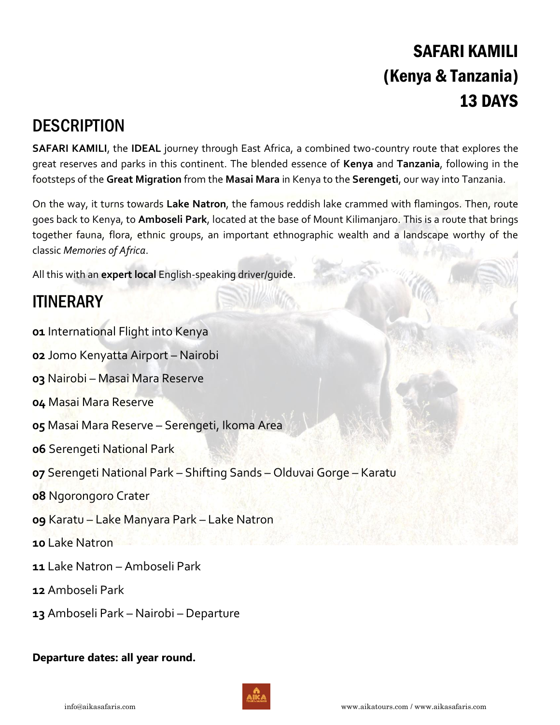# SAFARI KAMILI (Kenya & Tanzania) 13 DAYS

## **DESCRIPTION**

**SAFARI KAMILI**, the **IDEAL** journey through East Africa, a combined two-country route that explores the great reserves and parks in this continent. The blended essence of **Kenya** and **Tanzania**, following in the footsteps of the **Great Migration** from the **Masai Mara** in Kenya to the **Serengeti**, our way into Tanzania.

On the way, it turns towards **Lake Natron**, the famous reddish lake crammed with flamingos. Then, route goes back to Kenya, to **Amboseli Park**, located at the base of Mount Kilimanjaro. This is a route that brings together fauna, flora, ethnic groups, an important ethnographic wealth and a landscape worthy of the classic *Memories of Africa*.

All this with an **expert local** English-speaking driver/guide.

## **ITINERARY**

**01** International Flight into Kenya

**02** Jomo Kenyatta Airport – Nairobi

**03** Nairobi – Masai Mara Reserve

- **04** Masai Mara Reserve
- **05** Masai Mara Reserve Serengeti, Ikoma Area
- **06** Serengeti National Park
- **07** Serengeti National Park Shifting Sands Olduvai Gorge Karatu
- **08** Ngorongoro Crater
- **09** Karatu Lake Manyara Park Lake Natron
- **10** Lake Natron
- **11** Lake Natron Amboseli Park
- **12** Amboseli Park
- **13** Amboseli Park Nairobi Departure

### **Departure dates: all year round.**

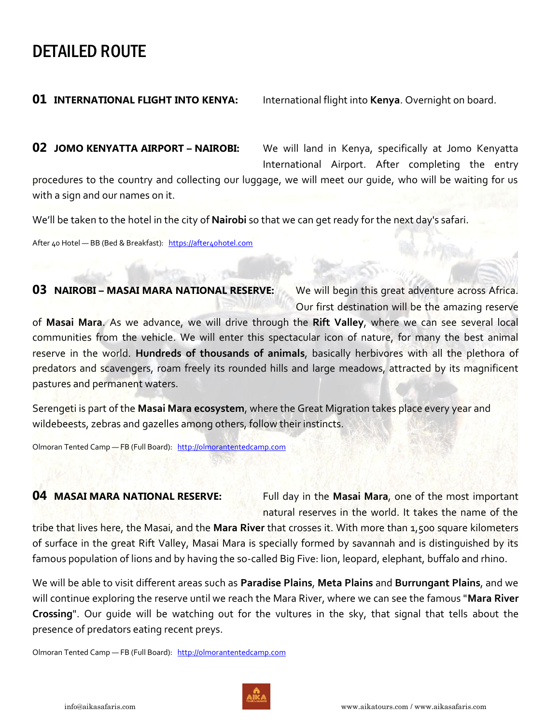## DETAILED ROUTE

**01 INTERNATIONAL FLIGHT INTO KENYA:** International flight into **Kenya**. Overnight on board.

**02 JOMO KENYATTA AIRPORT – NAIROBI:** We will land in Kenya, specifically at Jomo Kenyatta International Airport. After completing the entry

procedures to the country and collecting our luggage, we will meet our guide, who will be waiting for us with a sign and our names on it.

We'll be taken to the hotel in the city of **Nairobi** so that we can get ready for the next day's safari.

After 40 Hotel - BB (Bed & Breakfast): https://after4ohotel.com

### **03 NAIROBI - MASAI MARA NATIONAL RESERVE:** We will begin this great adventure across Africa.

Our first destination will be the amazing reserve

of **Masai Mara**. As we advance, we will drive through the **Rift Valley**, where we can see several local communities from the vehicle. We will enter this spectacular icon of nature, for many the best animal reserve in the world. **Hundreds of thousands of animals**, basically herbivores with all the plethora of predators and scavengers, roam freely its rounded hills and large meadows, attracted by its magnificent pastures and permanent waters.

Serengeti is part of the **Masai Mara ecosystem**, where the Great Migration takes place every year and wildebeests, zebras and gazelles among others, follow their instincts.

Olmoran Tented Camp - FB (Full Board): [http://olmorantentedcamp.com](http://olmorantentedcamp.com/)

**04 MASAI MARA NATIONAL RESERVE:** Full day in the **Masai Mara**, one of the most important natural reserves in the world. It takes the name of the

tribe that lives here, the Masai, and the **Mara River** that crosses it. With more than 1,500 square kilometers of surface in the great Rift Valley, Masai Mara is specially formed by savannah and is distinguished by its famous population of lions and by having the so-called Big Five: lion, leopard, elephant, buffalo and rhino.

We will be able to visit different areas such as **Paradise Plains**, **Meta Plains** and **Burrungant Plains**, and we will continue exploring the reserve until we reach the Mara River, where we can see the famous "**Mara River Crossing**". Our guide will be watching out for the vultures in the sky, that signal that tells about the presence of predators eating recent preys.

Olmoran Tented Camp — FB (Full Board): [http://olmorantentedcamp.com](http://olmorantentedcamp.com/)

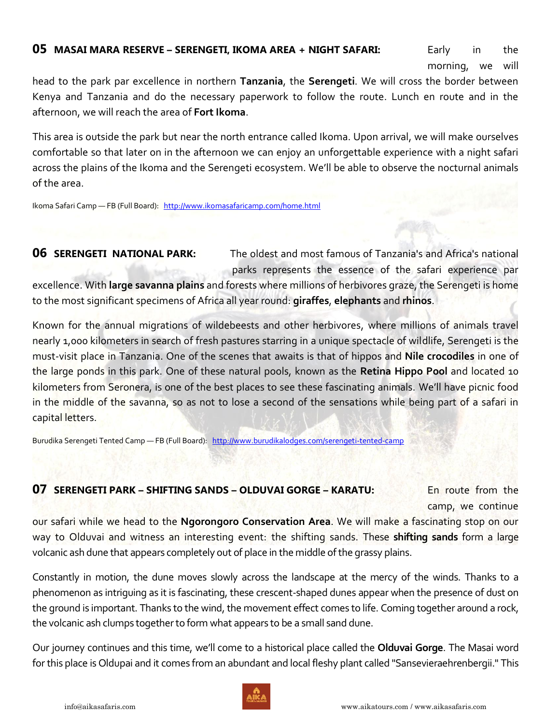### **05 MASAI MARA RESERVE – SERENGETI, IKOMA AREA + NIGHT SAFARI:** Early in the

morning, we will

head to the park par excellence in northern **Tanzania**, the **Serengeti**. We will cross the border between Kenya and Tanzania and do the necessary paperwork to follow the route. Lunch en route and in the afternoon, we will reach the area of **Fort Ikoma**.

This area is outside the park but near the north entrance called Ikoma. Upon arrival, we will make ourselves comfortable so that later on in the afternoon we can enjoy an unforgettable experience with a night safari across the plains of the Ikoma and the Serengeti ecosystem. We'll be able to observe the nocturnal animals of the area.

Ikoma Safari Camp - FB (Full Board): <http://www.ikomasafaricamp.com/home.html>

**06 SERENGETI NATIONAL PARK:** The oldest and most famous of Tanzania's and Africa's national parks represents the essence of the safari experience par excellence. With **large savanna plains** and forests where millions of herbivores graze, the Serengeti is home to the most significant specimens of Africa all year round: **giraffes**, **elephants** and **rhinos**.

Known for the annual migrations of wildebeests and other herbivores, where millions of animals travel nearly 1,000 kilometers in search of fresh pastures starring in a unique spectacle of wildlife, Serengeti is the must-visit place in Tanzania. One of the scenes that awaits is that of hippos and **Nile crocodiles** in one of the large ponds in this park. One of these natural pools, known as the **Retina Hippo Pool** and located 10 kilometers from Seronera, is one of the best places to see these fascinating animals. We'll have picnic food in the middle of the savanna, so as not to lose a second of the sensations while being part of a safari in capital letters.

Burudika Serengeti Tented Camp - FB (Full Board): <http://www.burudikalodges.com/serengeti-tented-camp>

### **07 SERENGETI PARK – SHIFTING SANDS – OLDUVAI GORGE – KARATU:** En route from the

camp, we continue

our safari while we head to the **Ngorongoro Conservation Area**. We will make a fascinating stop on our way to Olduvai and witness an interesting event: the shifting sands. These **shifting sands** form a large volcanic ash dune that appears completely out of place in the middle of the grassy plains.

Constantly in motion, the dune moves slowly across the landscape at the mercy of the winds. Thanks to a phenomenon as intriguing as it is fascinating, these crescent-shaped dunes appear when the presence of dust on the ground is important. Thanks to the wind, the movement effect comes to life. Coming together around a rock, the volcanic ash clumps together to form what appears to be a small sand dune.

Our journey continues and this time, we'll come to a historical place called the **Olduvai Gorge**. The Masai word for this place is Oldupai and it comes from an abundant and local fleshy plant called "Sansevieraehrenbergii." This

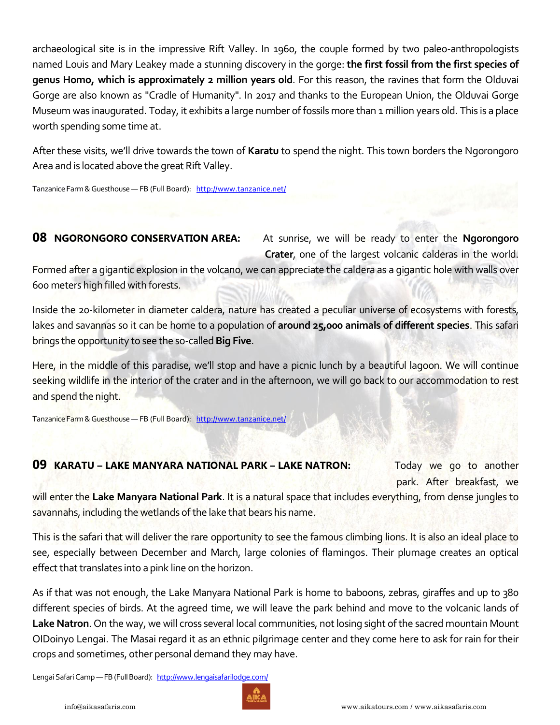archaeological site is in the impressive Rift Valley. In 1960, the couple formed by two paleo-anthropologists named Louis and Mary Leakey made a stunning discovery in the gorge: **the first fossil from the first species of genus Homo, which is approximately 2 million years old**. For this reason, the ravines that form the Olduvai Gorge are also known as "Cradle of Humanity". In 2017 and thanks to the European Union, the Olduvai Gorge Museum was inaugurated. Today, it exhibits a large number of fossils more than 1 million years old. This is a place worth spending some time at.

After these visits, we'll drive towards the town of **Karatu** to spend the night. This town borders the Ngorongoro Area and is located above the great Rift Valley.

Tanzanice Farm & Guesthouse — FB (Full Board): <http://www.tanzanice.net/>

### **08 NGORONGORO CONSERVATION AREA:** At sunrise, we will be ready to enter the **Ngorongoro Crater**, one of the largest volcanic calderas in the world.

Formed after a gigantic explosion in the volcano, we can appreciate the caldera as a gigantic hole with walls over 600 meters high filled with forests.

Inside the 20-kilometer in diameter caldera, nature has created a peculiar universe of ecosystems with forests, lakes and savannas so it can be home to a population of **around 25,000 animals of different species**. This safari brings the opportunity to see the so-called **Big Five**.

Here, in the middle of this paradise, we'll stop and have a picnic lunch by a beautiful lagoon. We will continue seeking wildlife in the interior of the crater and in the afternoon, we will go back to our accommodation to rest and spend the night.

Tanzanice Farm & Guesthouse — FB (Full Board): <http://www.tanzanice.net/>

### **09 <b>KARATU** – LAKE MANYARA NATIONAL PARK – LAKE NATRON: Today we go to another

park. After breakfast, we

will enter the **Lake Manyara National Park**. It is a natural space that includes everything, from dense jungles to savannahs, including the wetlands of the lake that bears his name.

This is the safari that will deliver the rare opportunity to see the famous climbing lions. It is also an ideal place to see, especially between December and March, large colonies of flamingos. Their plumage creates an optical effect that translates into a pink line on the horizon.

As if that was not enough, the Lake Manyara National Park is home to baboons, zebras, giraffes and up to 380 different species of birds. At the agreed time, we will leave the park behind and move to the volcanic lands of **Lake Natron**. On the way, we will cross several local communities, not losing sight of the sacred mountain Mount OIDoinyo Lengai. The Masai regard it as an ethnic pilgrimage center and they come here to ask for rain for their crops and sometimes, other personal demand they may have.

Lengai Safari Camp - FB (Full Board): <http://www.lengaisafarilodge.com/>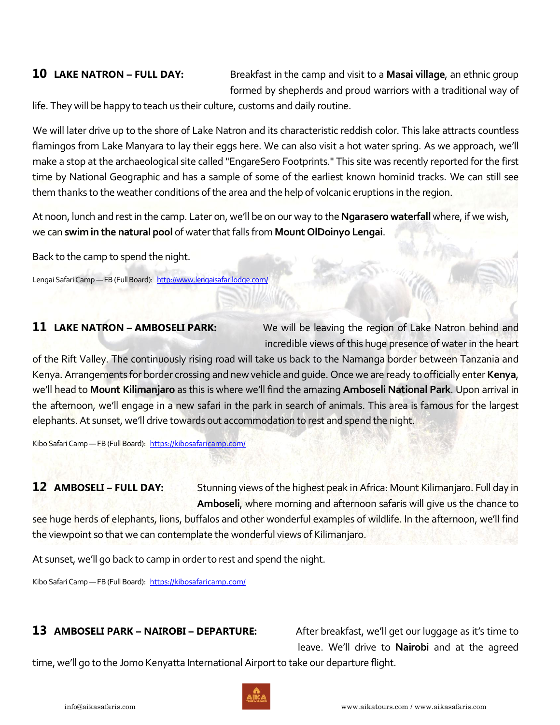**10 LAKE NATRON – FULL DAY:** Breakfast in the camp and visit to a **Masai village**, an ethnic group formed by shepherds and proud warriors with a traditional way of

life. They will be happy to teach us their culture, customs and daily routine.

We will later drive up to the shore of Lake Natron and its characteristic reddish color. This lake attracts countless flamingos from Lake Manyara to lay their eggs here. We can also visit a hot water spring. As we approach, we'll make a stop at the archaeological site called "EngareSero Footprints." This site was recently reported for the first time by National Geographic and has a sample of some of the earliest known hominid tracks. We can still see them thanks to the weather conditions of the area and the help of volcanic eruptions in the region.

At noon, lunch and rest in the camp. Later on, we'll be on our way to the **Ngarasero waterfall** where, if we wish, we can **swim in the natural pool** of water that falls from **Mount OlDoinyo Lengai**.

Back to the camp to spend the night.

Lengai Safari Camp - FB (Full Board): <http://www.lengaisafarilodge.com/>

**11 LAKE NATRON - AMBOSELI PARK:** We will be leaving the region of Lake Natron behind and incredible views of this huge presence of water in the heart

of the Rift Valley. The continuously rising road will take us back to the Namanga border between Tanzania and Kenya. Arrangements for border crossing and new vehicle and guide. Once we are ready to officially enter **Kenya**, we'll head to **Mount Kilimanjaro** as this is where we'll find the amazing **Amboseli National Park**. Upon arrival in the afternoon, we'll engage in a new safari in the park in search of animals. This area is famous for the largest elephants. At sunset, we'll drive towards out accommodation to rest and spend the night.

Kibo Safari Camp - FB (Full Board): <https://kibosafaricamp.com/>

**12 AMBOSELI - FULL DAY:** Stunning views of the highest peak in Africa: Mount Kilimanjaro. Full day in **Amboseli**, where morning and afternoon safaris will give us the chance to

see huge herds of elephants, lions, buffalos and other wonderful examples of wildlife. In the afternoon, we'll find the viewpoint so that we can contemplate the wonderful views of Kilimanjaro.

At sunset, we'll go back to camp in order to rest and spend the night.

Kibo Safari Camp - FB (Full Board): <https://kibosafaricamp.com/>

### **13 AMBOSELI PARK – NAIROBI – DEPARTURE:** After breakfast, we'll get our luggage as it's time to

leave. We'll drive to **Nairobi** and at the agreed

time, we'll go to the Jomo Kenyatta International Airport to take our departure flight.